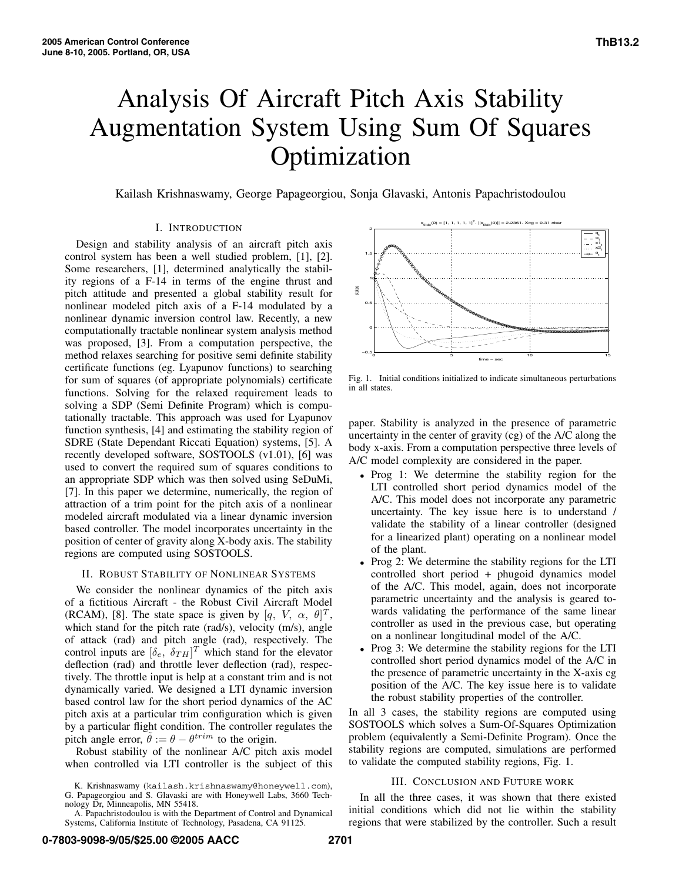# Analysis Of Aircraft Pitch Axis Stability Augmentation System Using Sum Of Squares Optimization

Kailash Krishnaswamy, George Papageorgiou, Sonja Glavaski, Antonis Papachristodoulou

## I. INTRODUCTION

Design and stability analysis of an aircraft pitch axis control system has been a well studied problem, [1], [2]. Some researchers, [1], determined analytically the stability regions of a F-14 in terms of the engine thrust and pitch attitude and presented a global stability result for nonlinear modeled pitch axis of a F-14 modulated by a nonlinear dynamic inversion control law. Recently, a new computationally tractable nonlinear system analysis method was proposed, [3]. From a computation perspective, the method relaxes searching for positive semi definite stability certificate functions (eg. Lyapunov functions) to searching for sum of squares (of appropriate polynomials) certificate functions. Solving for the relaxed requirement leads to solving a SDP (Semi Definite Program) which is computationally tractable. This approach was used for Lyapunov function synthesis, [4] and estimating the stability region of SDRE (State Dependant Riccati Equation) systems, [5]. A recently developed software, SOSTOOLS (v1.01), [6] was used to convert the required sum of squares conditions to an appropriate SDP which was then solved using SeDuMi, [7]. In this paper we determine, numerically, the region of attraction of a trim point for the pitch axis of a nonlinear modeled aircraft modulated via a linear dynamic inversion based controller. The model incorporates uncertainty in the position of center of gravity along X-body axis. The stability regions are computed using SOSTOOLS.

#### II. ROBUST STABILITY OF NONLINEAR SYSTEMS

We consider the nonlinear dynamics of the pitch axis of a fictitious Aircraft - the Robust Civil Aircraft Model (RCAM), [8]. The state space is given by  $[q, V, \alpha, \theta]^T$ , which stand for the pitch rate (rad/s), velocity (m/s), angle which stand for the pitch rate (rad/s), velocity (m/s), angle of attack (rad) and pitch angle (rad), respectively. The control inputs are  $[\delta_e, \delta_{TH}]^T$  which stand for the elevator deflection (rad) and throttle lever deflection (rad) respecdeflection (rad) and throttle lever deflection (rad), respectively. The throttle input is help at a constant trim and is not dynamically varied. We designed a LTI dynamic inversion based control law for the short period dynamics of the AC pitch axis at a particular trim configuration which is given by a particular flight condition. The controller regulates the pitch angle error,  $\tilde{\theta} := \theta - \theta^{trim}$  to the origin.

Robust stability of the nonlinear A/C pitch axis model when controlled via LTI controller is the subject of this



Fig. 1. Initial conditions initialized to indicate simultaneous perturbations in all states.

paper. Stability is analyzed in the presence of parametric uncertainty in the center of gravity (cg) of the A/C along the body x-axis. From a computation perspective three levels of A/C model complexity are considered in the paper.

- Prog 1: We determine the stability region for the LTI controlled short period dynamics model of the A/C. This model does not incorporate any parametric uncertainty. The key issue here is to understand / validate the stability of a linear controller (designed for a linearized plant) operating on a nonlinear model of the plant.
- Prog 2: We determine the stability regions for the LTI controlled short period + phugoid dynamics model of the A/C. This model, again, does not incorporate parametric uncertainty and the analysis is geared towards validating the performance of the same linear controller as used in the previous case, but operating on a nonlinear longitudinal model of the A/C.
- Prog 3: We determine the stability regions for the LTI controlled short period dynamics model of the A/C in the presence of parametric uncertainty in the X-axis cg position of the A/C. The key issue here is to validate the robust stability properties of the controller.

In all 3 cases, the stability regions are computed using SOSTOOLS which solves a Sum-Of-Squares Optimization problem (equivalently a Semi-Definite Program). Once the stability regions are computed, simulations are performed to validate the computed stability regions, Fig. 1.

### III. CONCLUSION AND FUTURE WORK

In all the three cases, it was shown that there existed initial conditions which did not lie within the stability regions that were stabilized by the controller. Such a result

K. Krishnaswamy (kailash.krishnaswamy@honeywell.com), G. Papageorgiou and S. Glavaski are with Honeywell Labs, 3660 Technology Dr, Minneapolis, MN 55418.

A. Papachristodoulou is with the Department of Control and Dynamical Systems, California Institute of Technology, Pasadena, CA 91125.